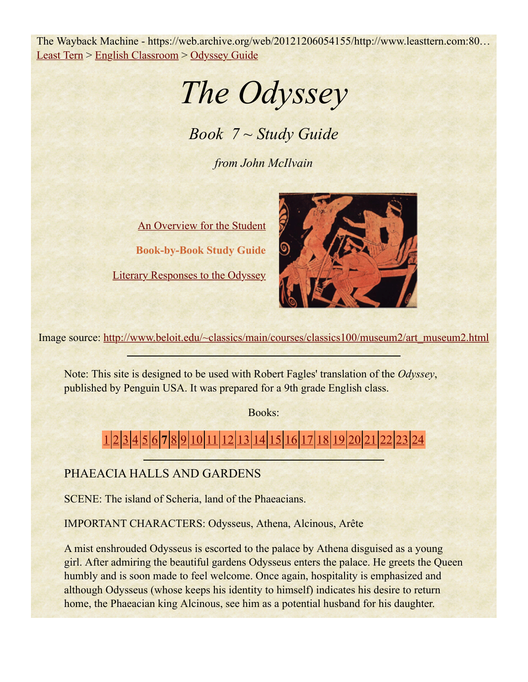The Wayback Machine - https://web.archive.org/web/20121206054155/http://www.leasttern.com:80… Least Tern > English Classroom > Odyssey Guide

*The Odyssey*

*Book 7 ~ Study Guide*

*from John McIlvain*

An Overview for the Student **Book-by-Book Study Guide**

Literary Responses to the Odyssey



Image source: http://www.beloit.edu/~classics/main/courses/classics100/museum2/art\_museum2.html

Note: This site is designed to be used with Robert Fagles' translation of the *Odyssey*, published by Penguin USA. It was prepared for a 9th grade English class.

Books:

# 1 2 3 4 5 6 **7** 8 9 10 11 12 13 14 15 16 17 18 19 20 21 22 23 24

# PHAEACIA HALLS AND GARDENS

SCENE: The island of Scheria, land of the Phaeacians.

IMPORTANT CHARACTERS: Odysseus, Athena, Alcinous, Arête

A mist enshrouded Odysseus is escorted to the palace by Athena disguised as a young girl. After admiring the beautiful gardens Odysseus enters the palace. He greets the Queen humbly and is soon made to feel welcome. Once again, hospitality is emphasized and although Odysseus (whose keeps his identity to himself) indicates his desire to return home, the Phaeacian king Alcinous, see him as a potential husband for his daughter.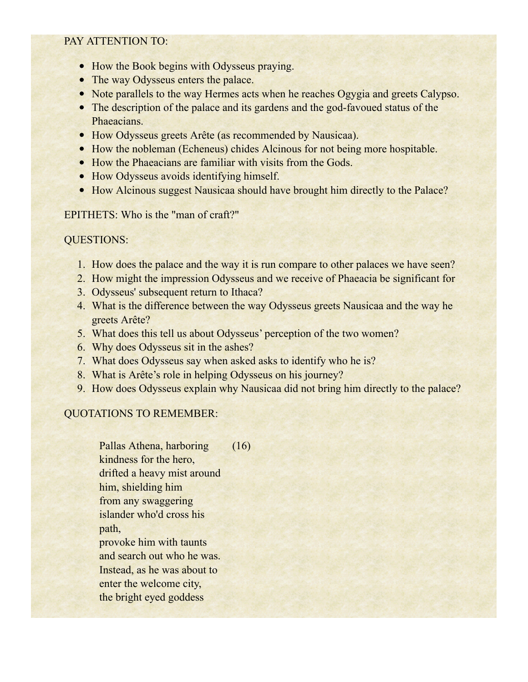#### PAY ATTENTION TO:

- How the Book begins with Odysseus praying.
- The way Odysseus enters the palace.
- Note parallels to the way Hermes acts when he reaches Ogygia and greets Calypso.
- The description of the palace and its gardens and the god-favoued status of the Phaeacians.
- How Odysseus greets Arête (as recommended by Nausicaa).
- How the nobleman (Echeneus) chides Alcinous for not being more hospitable.
- How the Phaeacians are familiar with visits from the Gods.
- How Odysseus avoids identifying himself.
- How Alcinous suggest Nausicaa should have brought him directly to the Palace?

#### EPITHETS: Who is the "man of craft?"

## QUESTIONS:

- 1. How does the palace and the way it is run compare to other palaces we have seen?
- 2. How might the impression Odysseus and we receive of Phaeacia be significant for
- 3. Odysseus' subsequent return to Ithaca?
- 4. What is the difference between the way Odysseus greets Nausicaa and the way he greets Arête?
- 5. What does this tell us about Odysseus' perception of the two women?
- 6. Why does Odysseus sit in the ashes?
- 7. What does Odysseus say when asked asks to identify who he is?
- 8. What is Arête's role in helping Odysseus on his journey?
- 9. How does Odysseus explain why Nausicaa did not bring him directly to the palace?

## QUOTATIONS TO REMEMBER:

Pallas Athena, harboring kindness for the hero, drifted a heavy mist around him, shielding him from any swaggering islander who'd cross his path, provoke him with taunts and search out who he was. Instead, as he was about to enter the welcome city, the bright eyed goddess (16)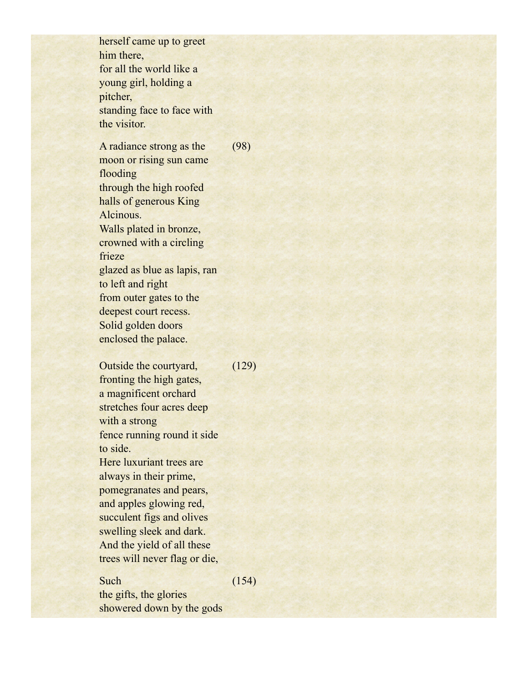herself came up to greet him there, for all the world like a young girl, holding a pitcher, standing face to face with the visitor.

A radiance strong as the moon or rising sun came flooding through the high roofed halls of generous King Alcinous. Walls plated in bronze, crowned with a circling frieze glazed as blue as lapis, ran to left and right from outer gates to the deepest court recess. Solid golden doors enclosed the palace. (98)

Outside the courtyard, fronting the high gates, a magnificent orchard stretches four acres deep with a strong fence running round it side to side. Here luxuriant trees are always in their prime, pomegranates and pears, and apples glowing red, succulent figs and olives swelling sleek and dark. And the yield of all these trees will never flag or die,  $(129)$ 

#### Such

(154)

the gifts, the glories showered down by the gods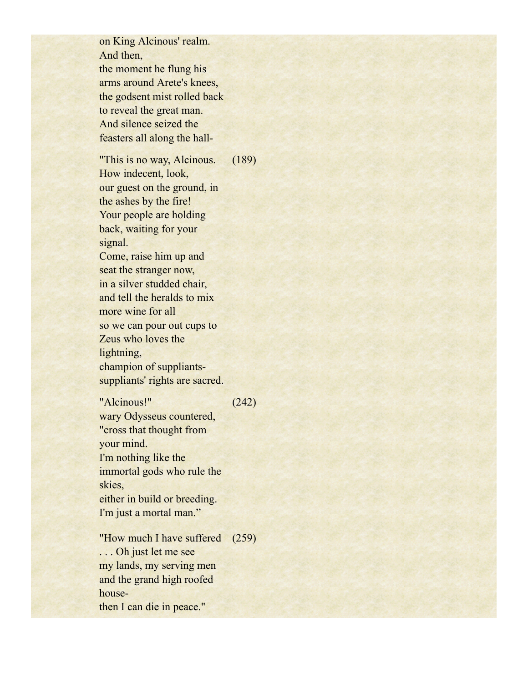on King Alcinous' realm. And then, the moment he flung his arms around Arete's knees, the godsent mist rolled back to reveal the great man. And silence seized the feasters all along the hall-

"This is no way, Alcinous. How indecent, look, our guest on the ground, in the ashes by the fire! Your people are holding back, waiting for your signal. Come, raise him up and seat the stranger now, in a silver studded chair, and tell the heralds to mix more wine for all so we can pour out cups to Zeus who loves the lightning, champion of suppliantssuppliants' rights are sacred. (189)

"Alcinous!" wary Odysseus countered, "cross that thought from your mind. I'm nothing like the immortal gods who rule the skies, either in build or breeding. I'm just a mortal man." (242) "How much I have suffered (259)

. . . Oh just let me see my lands, my serving men and the grand high roofed housethen I can die in peace."